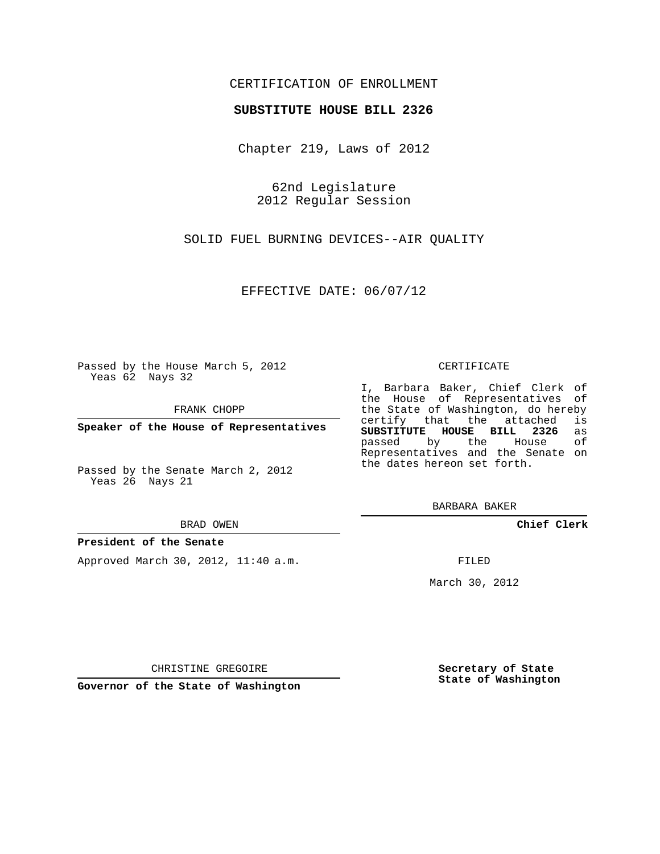# CERTIFICATION OF ENROLLMENT

## **SUBSTITUTE HOUSE BILL 2326**

Chapter 219, Laws of 2012

62nd Legislature 2012 Regular Session

SOLID FUEL BURNING DEVICES--AIR QUALITY

EFFECTIVE DATE: 06/07/12

Passed by the House March 5, 2012 Yeas 62 Nays 32

FRANK CHOPP

**Speaker of the House of Representatives**

Passed by the Senate March 2, 2012 Yeas 26 Nays 21

BRAD OWEN

## **President of the Senate**

Approved March 30, 2012, 11:40 a.m.

#### CERTIFICATE

I, Barbara Baker, Chief Clerk of the House of Representatives of the State of Washington, do hereby<br>certify that the attached is certify that the attached **SUBSTITUTE HOUSE BILL 2326** as passed by the Representatives and the Senate on the dates hereon set forth.

BARBARA BAKER

**Chief Clerk**

FILED

March 30, 2012

**Secretary of State State of Washington**

CHRISTINE GREGOIRE

**Governor of the State of Washington**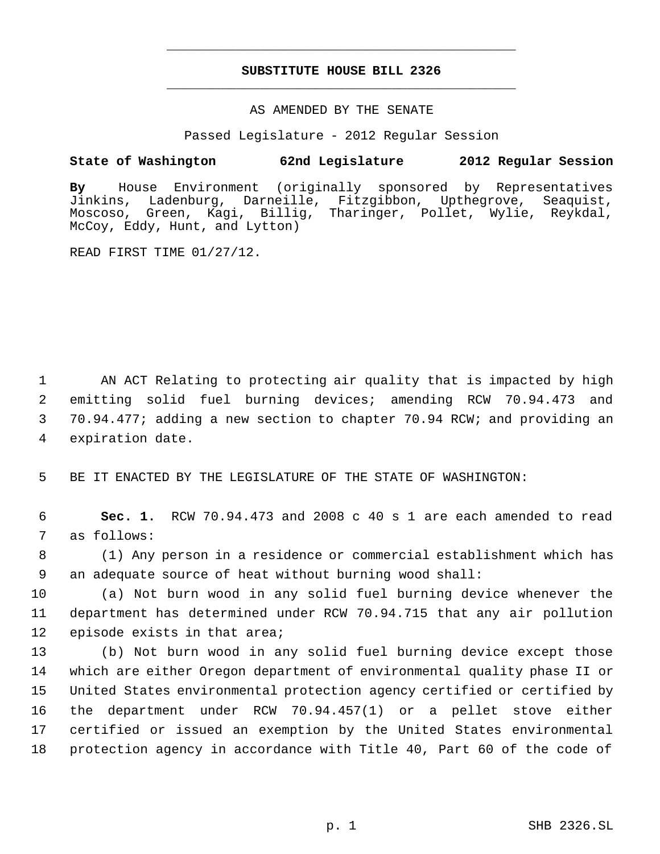# **SUBSTITUTE HOUSE BILL 2326** \_\_\_\_\_\_\_\_\_\_\_\_\_\_\_\_\_\_\_\_\_\_\_\_\_\_\_\_\_\_\_\_\_\_\_\_\_\_\_\_\_\_\_\_\_

\_\_\_\_\_\_\_\_\_\_\_\_\_\_\_\_\_\_\_\_\_\_\_\_\_\_\_\_\_\_\_\_\_\_\_\_\_\_\_\_\_\_\_\_\_

## AS AMENDED BY THE SENATE

Passed Legislature - 2012 Regular Session

# **State of Washington 62nd Legislature 2012 Regular Session**

**By** House Environment (originally sponsored by Representatives Darneille, Fitzgibbon, Upthegrove, Seaquist, Moscoso, Green, Kagi, Billig, Tharinger, Pollet, Wylie, Reykdal, McCoy, Eddy, Hunt, and Lytton)

READ FIRST TIME 01/27/12.

 AN ACT Relating to protecting air quality that is impacted by high emitting solid fuel burning devices; amending RCW 70.94.473 and 70.94.477; adding a new section to chapter 70.94 RCW; and providing an expiration date.

5 BE IT ENACTED BY THE LEGISLATURE OF THE STATE OF WASHINGTON:

 6 **Sec. 1.** RCW 70.94.473 and 2008 c 40 s 1 are each amended to read 7 as follows:

 8 (1) Any person in a residence or commercial establishment which has 9 an adequate source of heat without burning wood shall:

10 (a) Not burn wood in any solid fuel burning device whenever the 11 department has determined under RCW 70.94.715 that any air pollution 12 episode exists in that area;

 (b) Not burn wood in any solid fuel burning device except those which are either Oregon department of environmental quality phase II or United States environmental protection agency certified or certified by the department under RCW 70.94.457(1) or a pellet stove either certified or issued an exemption by the United States environmental protection agency in accordance with Title 40, Part 60 of the code of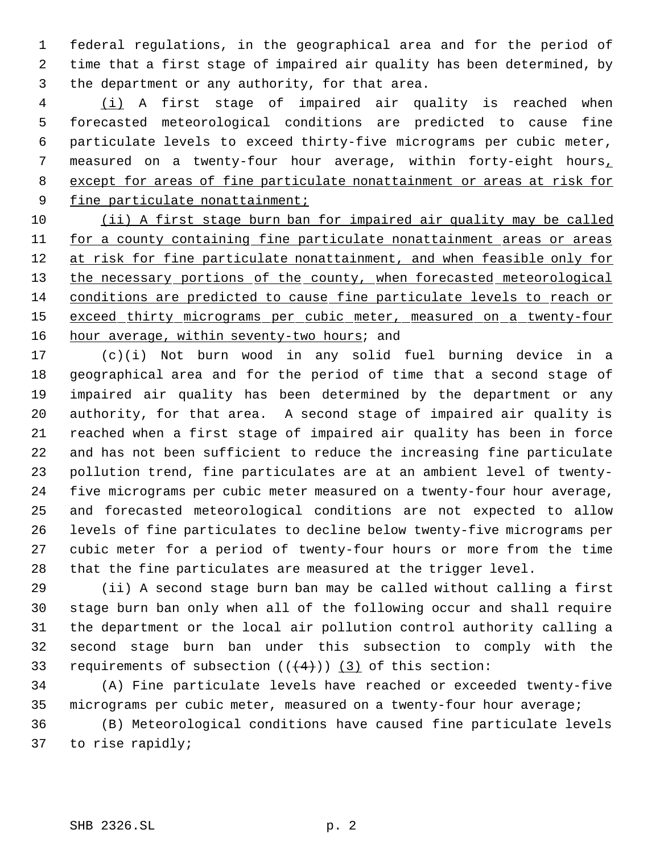federal regulations, in the geographical area and for the period of time that a first stage of impaired air quality has been determined, by the department or any authority, for that area.

 (i) A first stage of impaired air quality is reached when forecasted meteorological conditions are predicted to cause fine particulate levels to exceed thirty-five micrograms per cubic meter, measured on a twenty-four hour average, within forty-eight hours, except for areas of fine particulate nonattainment or areas at risk for 9 fine particulate nonattainment;

10 (ii) A first stage burn ban for impaired air quality may be called 11 for a county containing fine particulate nonattainment areas or areas 12 at risk for fine particulate nonattainment, and when feasible only for 13 the necessary portions of the county, when forecasted meteorological conditions are predicted to cause fine particulate levels to reach or 15 exceed thirty micrograms per cubic meter, measured on a twenty-four 16 hour average, within seventy-two hours; and

 (c)(i) Not burn wood in any solid fuel burning device in a geographical area and for the period of time that a second stage of impaired air quality has been determined by the department or any authority, for that area. A second stage of impaired air quality is reached when a first stage of impaired air quality has been in force and has not been sufficient to reduce the increasing fine particulate pollution trend, fine particulates are at an ambient level of twenty- five micrograms per cubic meter measured on a twenty-four hour average, and forecasted meteorological conditions are not expected to allow levels of fine particulates to decline below twenty-five micrograms per cubic meter for a period of twenty-four hours or more from the time that the fine particulates are measured at the trigger level.

 (ii) A second stage burn ban may be called without calling a first stage burn ban only when all of the following occur and shall require the department or the local air pollution control authority calling a second stage burn ban under this subsection to comply with the 33 requirements of subsection  $((+4))$   $(3)$  of this section:

 (A) Fine particulate levels have reached or exceeded twenty-five micrograms per cubic meter, measured on a twenty-four hour average;

 (B) Meteorological conditions have caused fine particulate levels to rise rapidly;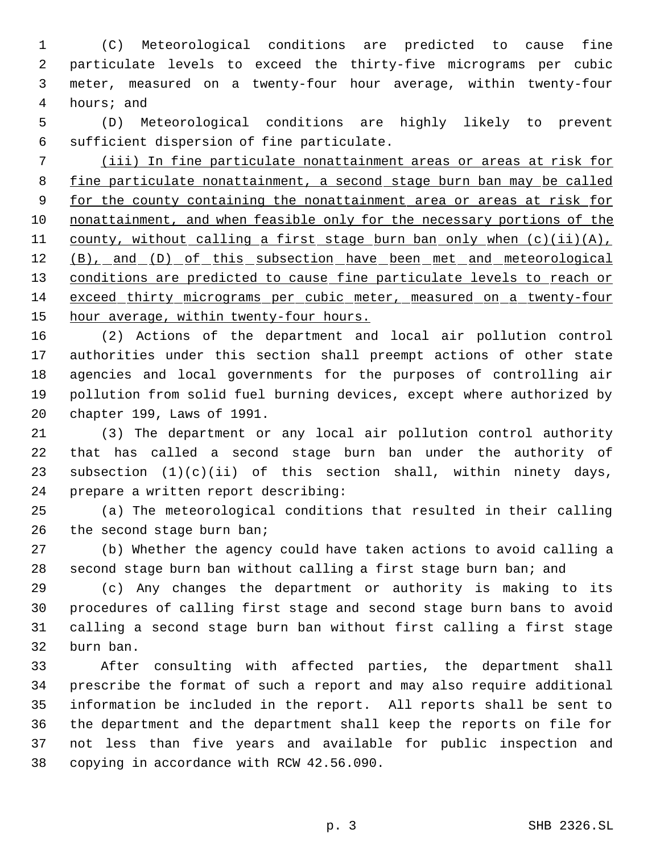(C) Meteorological conditions are predicted to cause fine particulate levels to exceed the thirty-five micrograms per cubic meter, measured on a twenty-four hour average, within twenty-four hours; and

 (D) Meteorological conditions are highly likely to prevent sufficient dispersion of fine particulate.

 (iii) In fine particulate nonattainment areas or areas at risk for fine particulate nonattainment, a second stage burn ban may be called 9 for the county containing the nonattainment area or areas at risk for nonattainment, and when feasible only for the necessary portions of the 11 county, without calling a first stage burn ban only when (c)(ii)(A), 12 (B), and (D) of this subsection have been met and meteorological 13 conditions are predicted to cause fine particulate levels to reach or exceed thirty micrograms per cubic meter, measured on a twenty-four 15 hour average, within twenty-four hours.

 (2) Actions of the department and local air pollution control authorities under this section shall preempt actions of other state agencies and local governments for the purposes of controlling air pollution from solid fuel burning devices, except where authorized by chapter 199, Laws of 1991.

 (3) The department or any local air pollution control authority that has called a second stage burn ban under the authority of subsection (1)(c)(ii) of this section shall, within ninety days, prepare a written report describing:

 (a) The meteorological conditions that resulted in their calling 26 the second stage burn ban;

 (b) Whether the agency could have taken actions to avoid calling a 28 second stage burn ban without calling a first stage burn ban; and

 (c) Any changes the department or authority is making to its procedures of calling first stage and second stage burn bans to avoid calling a second stage burn ban without first calling a first stage burn ban.

 After consulting with affected parties, the department shall prescribe the format of such a report and may also require additional information be included in the report. All reports shall be sent to the department and the department shall keep the reports on file for not less than five years and available for public inspection and copying in accordance with RCW 42.56.090.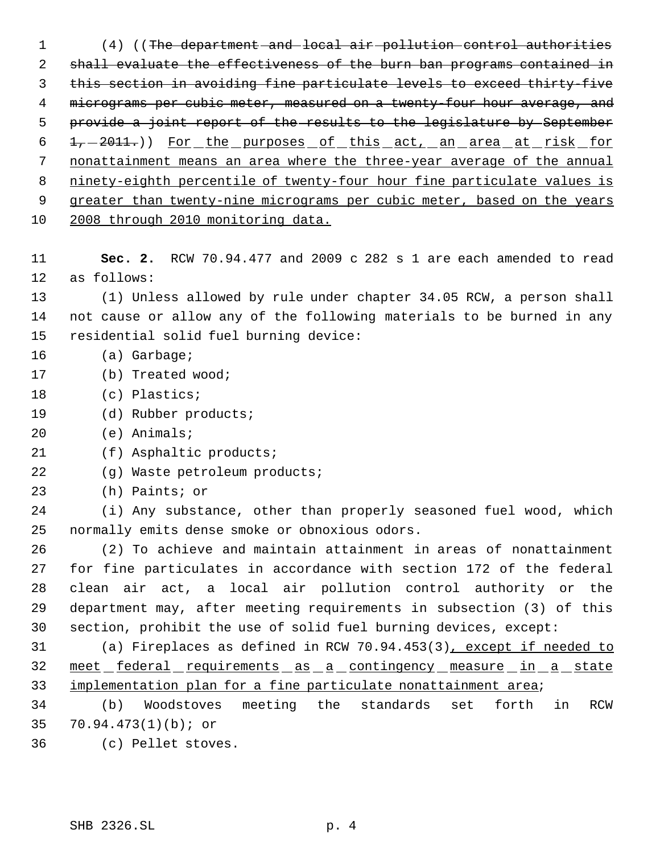(4) ((The department and local air pollution control authorities shall evaluate the effectiveness of the burn ban programs contained in this section in avoiding fine particulate levels to exceed thirty-five 4 micrograms per cubic meter, measured on a twenty-four hour average, and 5 provide a joint report of the results to the legislature by September 6 1, -2011.)) For the purposes of this act, an area at risk for nonattainment means an area where the three-year average of the annual ninety-eighth percentile of twenty-four hour fine particulate values is 9 greater than twenty-nine micrograms per cubic meter, based on the years 2008 through 2010 monitoring data. **Sec. 2.** RCW 70.94.477 and 2009 c 282 s 1 are each amended to read as follows:

 (1) Unless allowed by rule under chapter 34.05 RCW, a person shall not cause or allow any of the following materials to be burned in any residential solid fuel burning device:

- 16 (a) Garbage;
- (b) Treated wood;
- (c) Plastics;
- (d) Rubber products;
- (e) Animals;
- (f) Asphaltic products;
- (g) Waste petroleum products;
- (h) Paints; or

 (i) Any substance, other than properly seasoned fuel wood, which normally emits dense smoke or obnoxious odors.

 (2) To achieve and maintain attainment in areas of nonattainment for fine particulates in accordance with section 172 of the federal clean air act, a local air pollution control authority or the department may, after meeting requirements in subsection (3) of this section, prohibit the use of solid fuel burning devices, except:

 (a) Fireplaces as defined in RCW 70.94.453(3), except if needed to 32 meet federal requirements as a contingency measure in a state 33 implementation plan for a fine particulate nonattainment area;

 (b) Woodstoves meeting the standards set forth in RCW 70.94.473(1)(b); or

(c) Pellet stoves.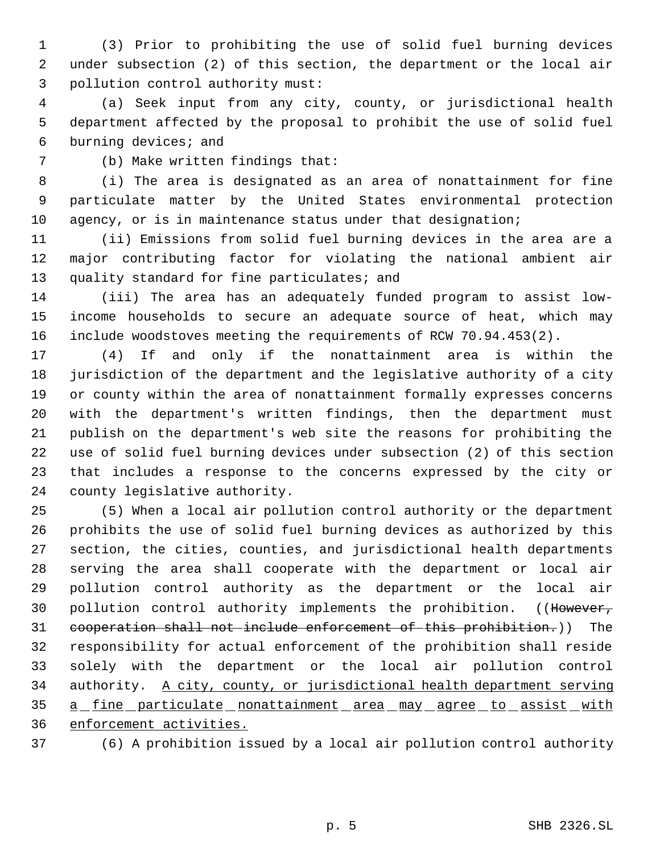(3) Prior to prohibiting the use of solid fuel burning devices under subsection (2) of this section, the department or the local air pollution control authority must:

 (a) Seek input from any city, county, or jurisdictional health department affected by the proposal to prohibit the use of solid fuel burning devices; and

(b) Make written findings that:

 (i) The area is designated as an area of nonattainment for fine particulate matter by the United States environmental protection 10 agency, or is in maintenance status under that designation;

 (ii) Emissions from solid fuel burning devices in the area are a major contributing factor for violating the national ambient air 13 quality standard for fine particulates; and

 (iii) The area has an adequately funded program to assist low- income households to secure an adequate source of heat, which may include woodstoves meeting the requirements of RCW 70.94.453(2).

 (4) If and only if the nonattainment area is within the jurisdiction of the department and the legislative authority of a city or county within the area of nonattainment formally expresses concerns with the department's written findings, then the department must publish on the department's web site the reasons for prohibiting the use of solid fuel burning devices under subsection (2) of this section that includes a response to the concerns expressed by the city or county legislative authority.

 (5) When a local air pollution control authority or the department prohibits the use of solid fuel burning devices as authorized by this section, the cities, counties, and jurisdictional health departments serving the area shall cooperate with the department or local air pollution control authority as the department or the local air 30 pollution control authority implements the prohibition. ((However, cooperation shall not include enforcement of this prohibition.)) The responsibility for actual enforcement of the prohibition shall reside solely with the department or the local air pollution control authority. A city, county, or jurisdictional health department serving 35 a fine particulate nonattainment area may agree to assist with enforcement activities.

(6) A prohibition issued by a local air pollution control authority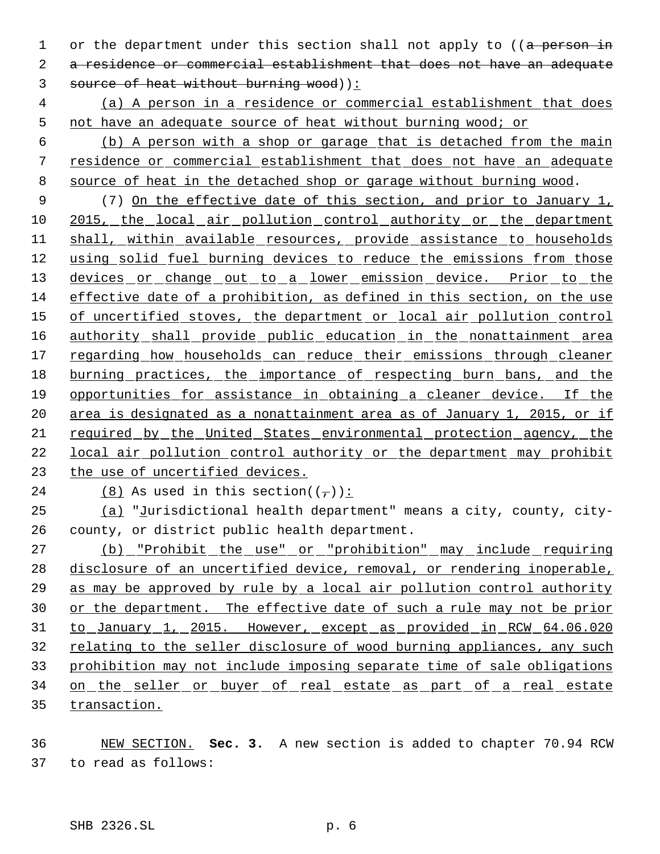1 or the department under this section shall not apply to ((a person in a residence or commercial establishment that does not have an adequate 3 source of heat without burning wood)):

 (a) A person in a residence or commercial establishment that does not have an adequate source of heat without burning wood; or

 (b) A person with a shop or garage that is detached from the main residence or commercial establishment that does not have an adequate source of heat in the detached shop or garage without burning wood.

 (7) On the effective date of this section, and prior to January 1, 2015, the local air pollution control authority or the department shall, within available resources, provide assistance to households using solid fuel burning devices to reduce the emissions from those 13 devices or change out to a lower emission device. Prior to the effective date of a prohibition, as defined in this section, on the use 15 of uncertified stoves, the department or local air pollution control 16 authority shall provide public education in the nonattainment area 17 regarding how households can reduce their emissions through cleaner burning practices, the importance of respecting burn bans, and the opportunities for assistance in obtaining a cleaner device. If the 20 area is designated as a nonattainment area as of January 1, 2015, or if required by the United States environmental protection agency, the local air pollution control authority or the department may prohibit the use of uncertified devices.

24 (8) As used in this section( $(\tau)$ ):

 (a) "Jurisdictional health department" means a city, county, city-county, or district public health department.

27 (b) "Prohibit the use" or "prohibition" may include requiring disclosure of an uncertified device, removal, or rendering inoperable, as may be approved by rule by a local air pollution control authority or the department. The effective date of such a rule may not be prior 31 to January 1, 2015. However, except as provided in RCW 64.06.020 relating to the seller disclosure of wood burning appliances, any such prohibition may not include imposing separate time of sale obligations 34 on the seller or buyer of real estate as part of a real estate transaction.

 NEW SECTION. **Sec. 3.** A new section is added to chapter 70.94 RCW to read as follows: